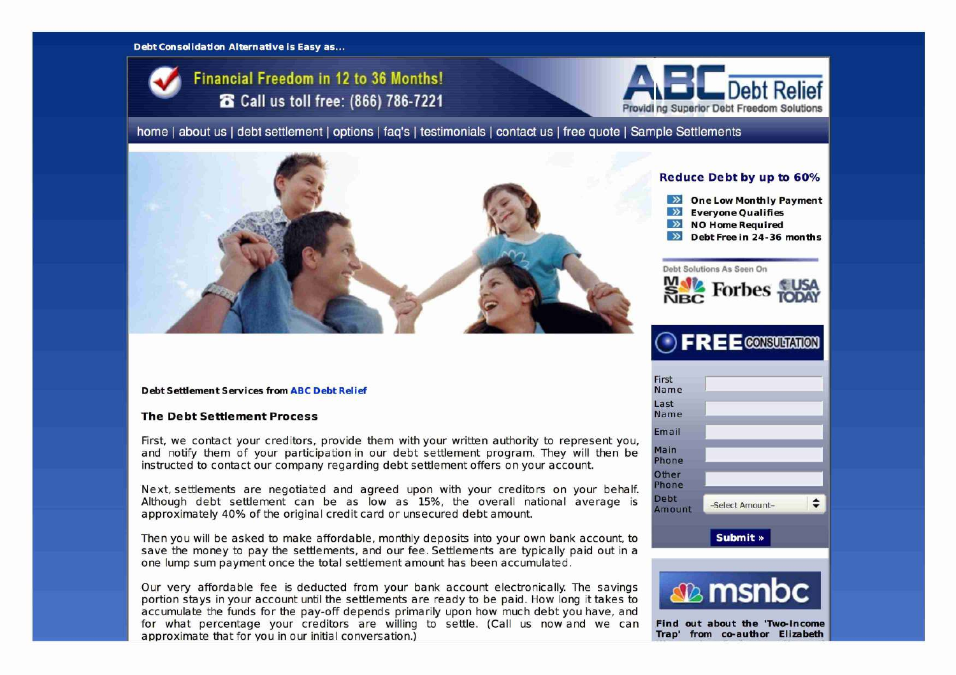#### Debt Consolidation Alternative is Easy as...





**home | about us | debt settlement | options | faq's | testimonials | contact us | free quote | Sample Settlements** 



#### Debt Settlement Services from ABC Debt Relief

### The Debt Settlement Process

First, we contact your creditors, provide them with your written authority to represent you, and notify them of your participation in our debt settlement program. They will then be instructed to contact our company regarding debt settlement offers on your account.

Next, settlements are negotiated and agreed upon with your creditors on your behalf. Although debt settlement can be as low as 15%, the overall national average is approximately 40% of the original credit card or unsecured debt amount.

Then you will be asked to make affordable, monthly deposits into your own bank account, to save the money to pay the settlements, and our fee. Settlements are typically paid out in a one lump sum payment once the total settlement amount has been accumulated.

Our very affordable fee is deducted from your bank account electronically. The savings portion stays in your account until the settlements are ready to be paid. How long it takes to accumulate the funds for the pay-off depends primarily upon how much debt you have, and for what percentage your creditors are willing to settle. (Call us now and we can Find out about the 'Two-Income<br>approximate that for you in our initial conversation) approximate that for you in our initial conversation.)

## Reduce Debt by up to 60%

- $\frac{dy}{dx}$  One Low Monthly Payment<br>
Exervone Oualifies
- **Everyone Qualifies**
- **EH** NO Home Required
- **Debt Free in 24-36 months**

#### **Debt** Solutions **As** Seen On



# **DEREE** CONSULTATION

| Debt<br>Amount | -Select Amount- | ≏ |
|----------------|-----------------|---|
| Other<br>Phone |                 |   |
| Main<br>Phone  |                 |   |
| Email          |                 |   |
| Last<br>Name   |                 |   |
| First<br>Name  |                 |   |